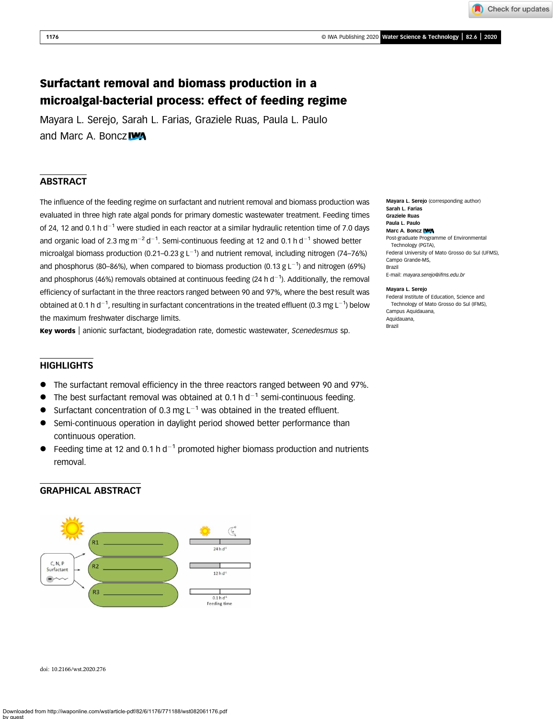Check for updates

# Surfactant removal and biomass production in a microalgal-bacterial process: effect of feeding regime

Mayara L. Serejo, Sarah L. Farias, Graziele Ruas, Paula L. Paulo and Marc A. Boncz

# **ABSTRACT**

The influence of the feeding regime on surfactant and nutrient removal and biomass production was evaluated in three high rate algal ponds for primary domestic wastewater treatment. Feeding times of 24, 12 and 0.1 h  $d^{-1}$  were studied in each reactor at a similar hydraulic retention time of 7.0 days and organic load of 2.3 mg m<sup>-2</sup> d<sup>-1</sup>. Semi-continuous feeding at 12 and 0.1 h d<sup>-1</sup> showed better microalgal biomass production (0.21–0.23 g L<sup>-1</sup>) and nutrient removal, including nitrogen (74–76%) and phosphorus (80–86%), when compared to biomass production (0.13 g L<sup>-1</sup>) and nitrogen (69%) and phosphorus (46%) removals obtained at continuous feeding (24 h d<sup>-1</sup>). Additionally, the removal efficiency of surfactant in the three reactors ranged between 90 and 97%, where the best result was obtained at 0.1 h d $^{-1}$ , resulting in surfactant concentrations in the treated effluent (0.3 mg L $^{-1}$ ) below the maximum freshwater discharge limits.

Key words | anionic surfactant, biodegradation rate, domestic wastewater, Scenedesmus sp.

# **HIGHLIGHTS**

- The surfactant removal efficiency in the three reactors ranged between 90 and 97%.
- The best surfactant removal was obtained at 0.1 h  $d^{-1}$  semi-continuous feeding.
- Surfactant concentration of 0.3 mg  $L^{-1}$  was obtained in the treated effluent.
- Semi-continuous operation in daylight period showed better performance than continuous operation.
- Feeding time at 12 and 0.1 h  $d^{-1}$  promoted higher biomass production and nutrients removal.

# GRAPHICAL ABSTRACT



doi: 10.2166/wst.2020.276

Mayara L. Serejo (corresponding author) Sarah L. Farias Graziele Ruas Paula L. Paulo Marc A. Boncz IWA Post-graduate Programme of Environmental Technology (PGTA), Federal University of Mato Grosso do Sul (UFMS), Campo Grande-MS, Brazil E-mail: [mayara.serejo@ifms.edu.br](mailto:mayara.serejo@ifms.edu.br)

Mayara L. Serejo

Federal Institute of Education, Science and Technology of Mato Grosso do Sul (IFMS), Campus Aquidauana, Aquidauana, Brazil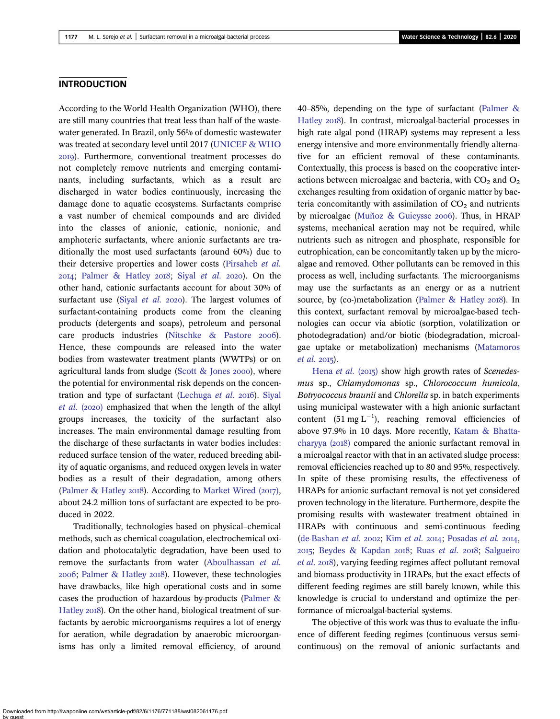# **INTRODUCTION**

According to the World Health Organization (WHO), there are still many countries that treat less than half of the wastewater generated. In Brazil, only 56% of domestic wastewater was treated at secondary level until 2017 [\(UNICEF & WHO](#page-7-0) ). Furthermore, conventional treatment processes do not completely remove nutrients and emerging contaminants, including surfactants, which as a result are discharged in water bodies continuously, increasing the damage done to aquatic ecosystems. Surfactants comprise a vast number of chemical compounds and are divided into the classes of anionic, cationic, nonionic, and amphoteric surfactants, where anionic surfactants are traditionally the most used surfactants (around 60%) due to their detersive properties and lower costs ([Pirsaheb](#page-7-0) et al. 2014; [Palmer & Hatley](#page-7-0) 2018; Siyal [et al.](#page-7-0) 2020). On the other hand, cationic surfactants account for about 30% of surfactant use (Siyal [et al.](#page-7-0) 2020). The largest volumes of surfactant-containing products come from the cleaning products (detergents and soaps), petroleum and personal care products industries [\(Nitschke & Pastore](#page-7-0) 2006). Hence, these compounds are released into the water bodies from wastewater treatment plants (WWTPs) or on agricultural lands from sludge (Scott  $&$  Jones 2000), where the potential for environmental risk depends on the concen-tration and type of surfactant ([Lechuga](#page-6-0)  $et$   $al.$  2016). [Siyal](#page-7-0) *[et al.](#page-7-0)* (2020) emphasized that when the length of the alkyl groups increases, the toxicity of the surfactant also increases. The main environmental damage resulting from the discharge of these surfactants in water bodies includes: reduced surface tension of the water, reduced breeding ability of aquatic organisms, and reduced oxygen levels in water bodies as a result of their degradation, among others [\(Palmer & Hatley](#page-7-0) 2018). According to [Market Wired \(](#page-6-0)2017), about 24.2 million tons of surfactant are expected to be produced in 2022.

Traditionally, technologies based on physical–chemical methods, such as chemical coagulation, electrochemical oxidation and photocatalytic degradation, have been used to remove the surfactants from water ([Aboulhassan](#page-6-0) et al. 2006; [Palmer & Hatley](#page-7-0) 2018). However, these technologies have drawbacks, like high operational costs and in some cases the production of hazardous by-products [\(Palmer &](#page-7-0) [Hatley](#page-7-0) 2018). On the other hand, biological treatment of surfactants by aerobic microorganisms requires a lot of energy for aeration, while degradation by anaerobic microorganisms has only a limited removal efficiency, of around 40–85%, depending on the type of surfactant [\(Palmer &](#page-7-0) [Hatley](#page-7-0) 2018). In contrast, microalgal-bacterial processes in high rate algal pond (HRAP) systems may represent a less energy intensive and more environmentally friendly alternative for an efficient removal of these contaminants. Contextually, this process is based on the cooperative interactions between microalgae and bacteria, with  $CO<sub>2</sub>$  and  $O<sub>2</sub>$ exchanges resulting from oxidation of organic matter by bacteria concomitantly with assimilation of  $CO<sub>2</sub>$  and nutrients by microalgae ([Muñoz & Guieysse](#page-7-0) 2006). Thus, in HRAP systems, mechanical aeration may not be required, while nutrients such as nitrogen and phosphate, responsible for eutrophication, can be concomitantly taken up by the microalgae and removed. Other pollutants can be removed in this process as well, including surfactants. The microorganisms may use the surfactants as an energy or as a nutrient source, by (co-)metabolization ([Palmer & Hatley](#page-7-0) 2018). In this context, surfactant removal by microalgae-based technologies can occur via abiotic (sorption, volatilization or photodegradation) and/or biotic (biodegradation, microalgae uptake or metabolization) mechanisms ([Matamoros](#page-6-0)  $et$  al. 2015).

[Hena](#page-6-0) et al.  $(2015)$  show high growth rates of Scenedesmus sp., Chlamydomonas sp., Chlorococcum humicola, Botryococcus braunii and Chlorella sp. in batch experiments using municipal wastewater with a high anionic surfactant content (51 mg  $L^{-1}$ ), reaching removal efficiencies of above 97.9% in 10 days. More recently, [Katam & Bhatta](#page-6-0)[charyya \(](#page-6-0)2018) compared the anionic surfactant removal in a microalgal reactor with that in an activated sludge process: removal efficiencies reached up to 80 and 95%, respectively. In spite of these promising results, the effectiveness of HRAPs for anionic surfactant removal is not yet considered proven technology in the literature. Furthermore, despite the promising results with wastewater treatment obtained in HRAPs with continuous and semi-continuous feeding [\(de-Bashan](#page-6-0) [et al.](#page-6-0) 2002; Kim et al. 2014; [Posadas](#page-7-0) et al. 2014,  $2015$ ; [Beydes & Kapdan](#page-6-0)  $2018$ ; Ruas *[et al.](#page-7-0)*  $2018$ ; [Salgueiro](#page-7-0) [et al.](#page-7-0) 2018), varying feeding regimes affect pollutant removal and biomass productivity in HRAPs, but the exact effects of different feeding regimes are still barely known, while this knowledge is crucial to understand and optimize the performance of microalgal-bacterial systems.

The objective of this work was thus to evaluate the influence of different feeding regimes (continuous versus semicontinuous) on the removal of anionic surfactants and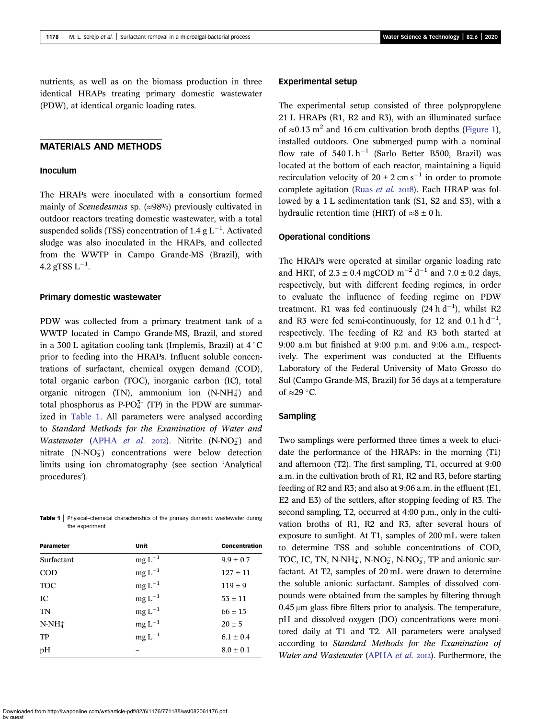nutrients, as well as on the biomass production in three identical HRAPs treating primary domestic wastewater (PDW), at identical organic loading rates.

## MATERIALS AND METHODS

#### Inoculum

The HRAPs were inoculated with a consortium formed mainly of *Scenedesmus* sp.  $(\approx 98\%)$  previously cultivated in outdoor reactors treating domestic wastewater, with a total suspended solids (TSS) concentration of 1.4 g  $L^{-1}$ . Activated sludge was also inoculated in the HRAPs, and collected from the WWTP in Campo Grande-MS (Brazil), with 4.2 gTSS  $\mathrm{L}^{-1}.$ 

#### Primary domestic wastewater

PDW was collected from a primary treatment tank of a WWTP located in Campo Grande-MS, Brazil, and stored in a 300 L agitation cooling tank (Implemis, Brazil) at  $4^{\circ}$ C prior to feeding into the HRAPs. Influent soluble concentrations of surfactant, chemical oxygen demand (COD), total organic carbon (TOC), inorganic carbon (IC), total organic nitrogen (TN), ammonium ion  $(N-NH<sub>4</sub><sup>+</sup>)$  and total phosphorus as  $P\text{-}PO_4^{3-}$  (TP) in the PDW are summarized in Table 1. All parameters were analysed according to Standard Methods for the Examination of Water and *Wastewater* [\(APHA](#page-6-0) *et al.* 2012). Nitrite  $(N-NO<sub>2</sub>)$  and nitrate  $(N-NO<sub>3</sub>)$  concentrations were below detection limits using ion chromatography (see section 'Analytical procedures').

Table 1 | Physical-chemical characteristics of the primary domestic wastewater during the experiment

| Parameter  | <b>Unit</b> | <b>Concentration</b> |
|------------|-------------|----------------------|
| Surfactant | $mg L^{-1}$ | $9.9 \pm 0.7$        |
| <b>COD</b> | $mg L^{-1}$ | $127 \pm 11$         |
| <b>TOC</b> | $mg L^{-1}$ | $119 \pm 9$          |
| IC         | $mg L^{-1}$ | $53 \pm 11$          |
| TN         | $mg L^{-1}$ | $66 \pm 15$          |
| $N-NH_4^+$ | $mg L^{-1}$ | $20 \pm 5$           |
| TP         | $mg L^{-1}$ | $6.1 \pm 0.4$        |
| pH         |             | $8.0 \pm 0.1$        |

## Experimental setup

The experimental setup consisted of three polypropylene 21 L HRAPs (R1, R2 and R3), with an illuminated surface of ≈0.13 m<sup>2</sup> and 16 cm cultivation broth depths [\(Figure 1](#page-3-0)), installed outdoors. One submerged pump with a nominal flow rate of  $540 \text{ L h}^{-1}$  (Sarlo Better B500, Brazil) was located at the bottom of each reactor, maintaining a liquid recirculation velocity of  $20 \pm 2$  cm s<sup>-1</sup> in order to promote complete agitation (Ruas [et al.](#page-7-0) 2018). Each HRAP was followed by a 1 L sedimentation tank (S1, S2 and S3), with a hydraulic retention time (HRT) of  $\approx 8 \pm 0$  h.

## Operational conditions

The HRAPs were operated at similar organic loading rate and HRT, of  $2.3 \pm 0.4$  mgCOD m<sup>-2</sup> d<sup>-1</sup> and  $7.0 \pm 0.2$  days, respectively, but with different feeding regimes, in order to evaluate the influence of feeding regime on PDW treatment. R1 was fed continuously  $(24 h d^{-1})$ , whilst R2 and R3 were fed semi-continuously, for 12 and 0.1 h  $d^{-1}$ , respectively. The feeding of R2 and R3 both started at 9:00 a.m but finished at 9:00 p.m. and 9:06 a.m., respectively. The experiment was conducted at the Effluents Laboratory of the Federal University of Mato Grosso do Sul (Campo Grande-MS, Brazil) for 36 days at a temperature of  $\approx$  29 °C.

#### Sampling

Two samplings were performed three times a week to elucidate the performance of the HRAPs: in the morning (T1) and afternoon (T2). The first sampling, T1, occurred at 9:00 a.m. in the cultivation broth of R1, R2 and R3, before starting feeding of R2 and R3; and also at 9:06 a.m. in the effluent (E1, E2 and E3) of the settlers, after stopping feeding of R3. The second sampling, T2, occurred at 4:00 p.m., only in the cultivation broths of R1, R2 and R3, after several hours of exposure to sunlight. At T1, samples of 200 mL were taken to determine TSS and soluble concentrations of COD, TOC, IC, TN, N-NH $_4^+$ , N-NO<sub>2</sub>, N-NO<sub>3</sub>, TP and anionic surfactant. At T2, samples of 20 mL were drawn to determine the soluble anionic surfactant. Samples of dissolved compounds were obtained from the samples by filtering through 0.45 μm glass fibre filters prior to analysis. The temperature, pH and dissolved oxygen (DO) concentrations were monitored daily at T1 and T2. All parameters were analysed according to Standard Methods for the Examination of Water and Wastewater ([APHA](#page-6-0) et al. 2012). Furthermore, the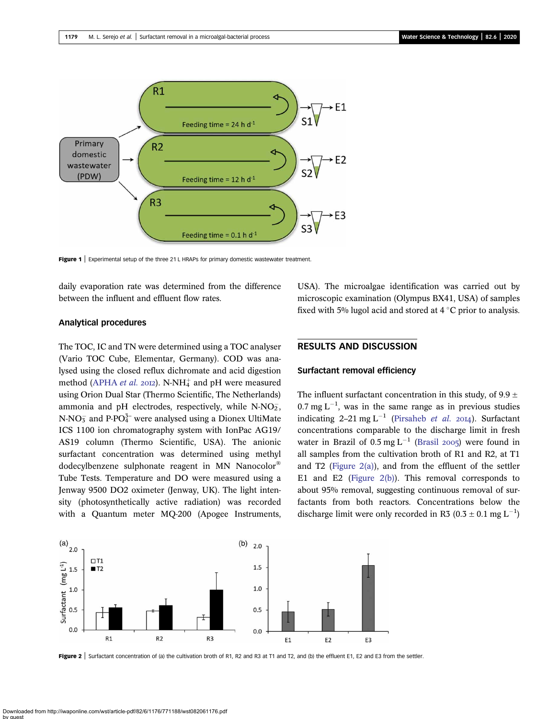<span id="page-3-0"></span>

Figure 1 | Experimental setup of the three 21 L HRAPs for primary domestic wastewater treatment

daily evaporation rate was determined from the difference between the influent and effluent flow rates.

#### Analytical procedures

The TOC, IC and TN were determined using a TOC analyser (Vario TOC Cube, Elementar, Germany). COD was analysed using the closed reflux dichromate and acid digestion method ([APHA](#page-6-0) *et al.* 2012). N-NH<sub>4</sub> and pH were measured using Orion Dual Star (Thermo Scientific, The Netherlands) ammonia and pH electrodes, respectively, while  $N-NO_2^-$ ,  $N\text{-}NO_3^-$  and P-PO $_4^{3-}$  were analysed using a Dionex UltiMate ICS 1100 ion chromatography system with IonPac AG19/ AS19 column (Thermo Scientific, USA). The anionic surfactant concentration was determined using methyl dodecylbenzene sulphonate reagent in MN Nanocolor® Tube Tests. Temperature and DO were measured using a Jenway 9500 DO2 oximeter (Jenway, UK). The light intensity (photosynthetically active radiation) was recorded with a Quantum meter MQ-200 (Apogee Instruments, USA). The microalgae identification was carried out by microscopic examination (Olympus BX41, USA) of samples fixed with 5% lugol acid and stored at  $4^{\circ}$ C prior to analysis.

# RESULTS AND DISCUSSION

#### Surfactant removal efficiency

The influent surfactant concentration in this study, of  $9.9 \pm$  $0.7$  mg L<sup>-1</sup>, was in the same range as in previous studies indicating 2–21 mg L<sup>-1</sup> ([Pirsaheb](#page-7-0) *et al.* 2014). Surfactant concentrations comparable to the discharge limit in fresh water in Brazil of  $0.5 \text{ mg } L^{-1}$  [\(Brasil](#page-6-0) 2005) were found in all samples from the cultivation broth of R1 and R2, at T1 and T2 (Figure  $2(a)$ ), and from the effluent of the settler E1 and E2 (Figure 2(b)). This removal corresponds to about 95% removal, suggesting continuous removal of surfactants from both reactors. Concentrations below the discharge limit were only recorded in R3 (0.3  $\pm$  0.1 mg L<sup>-1</sup>)



Figure 2 | Surfactant concentration of (a) the cultivation broth of R1, R2 and R3 at T1 and T2, and (b) the effluent E1, E2 and E3 from the settler.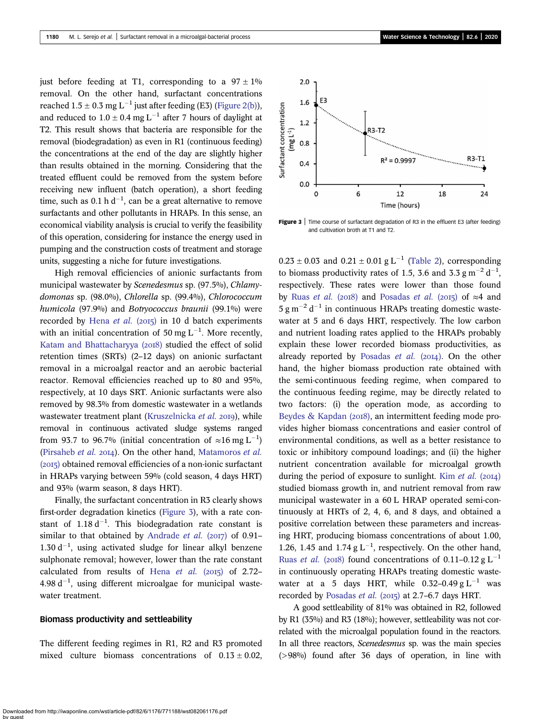just before feeding at T1, corresponding to a  $97 \pm 1\%$ removal. On the other hand, surfactant concentrations reached  $1.5 \pm 0.3$  mg L<sup>-1</sup> just after feeding (E3) [\(Figure 2\(b\)](#page-3-0)), and reduced to  $1.0 \pm 0.4$  mg L<sup>-1</sup> after 7 hours of daylight at T2. This result shows that bacteria are responsible for the removal (biodegradation) as even in R1 (continuous feeding) the concentrations at the end of the day are slightly higher than results obtained in the morning. Considering that the treated effluent could be removed from the system before receiving new influent (batch operation), a short feeding time, such as 0.1 h d<sup>-1</sup>, can be a great alternative to remove surfactants and other pollutants in HRAPs. In this sense, an economical viability analysis is crucial to verify the feasibility of this operation, considering for instance the energy used in pumping and the construction costs of treatment and storage units, suggesting a niche for future investigations.

High removal efficiencies of anionic surfactants from municipal wastewater by Scenedesmus sp. (97.5%), Chlamydomonas sp. (98.0%), Chlorella sp. (99.4%), Chlorococcum humicola (97.9%) and Botryococcus braunii (99.1%) were recorded by [Hena](#page-6-0) et al. (2015) in 10 d batch experiments with an initial concentration of 50 mg  $L^{-1}$ . More recently, [Katam and Bhattacharyya \(](#page-6-0)2018) studied the effect of solid retention times (SRTs) (2–12 days) on anionic surfactant removal in a microalgal reactor and an aerobic bacterial reactor. Removal efficiencies reached up to 80 and 95%, respectively, at 10 days SRT. Anionic surfactants were also removed by 98.3% from domestic wastewater in a wetlands wastewater treatment plant [\(Kruszelnicka](#page-6-0) et al. 2019), while removal in continuous activated sludge systems ranged from 93.7 to 96.7% (initial concentration of  $\approx$ 16 mg L<sup>-1</sup>) ([Pirsaheb](#page-7-0) et al. 2014). On the other hand, [Matamoros](#page-6-0) et al.  $(2015)$  obtained removal efficiencies of a non-ionic surfactant in HRAPs varying between 59% (cold season, 4 days HRT) and 93% (warm season, 8 days HRT).

Finally, the surfactant concentration in R3 clearly shows first-order degradation kinetics (Figure 3), with a rate constant of  $1.18 d^{-1}$ . This biodegradation rate constant is similar to that obtained by [Andrade](#page-6-0) et al. (2017) of 0.91–  $1.30 d^{-1}$ , using activated sludge for linear alkyl benzene sulphonate removal; however, lower than the rate constant calculated from results of Hena [et al.](#page-6-0)  $(2015)$  of 2.72–  $4.98 d^{-1}$ , using different microalgae for municipal wastewater treatment.

#### Biomass productivity and settleability

The different feeding regimes in R1, R2 and R3 promoted mixed culture biomass concentrations of  $0.13 \pm 0.02$ ,



Figure 3 | Time course of surfactant degradation of R3 in the effluent E3 (after feeding) and cultivation broth at T1 and T2.

 $0.23 \pm 0.03$  and  $0.21 \pm 0.01$  g L<sup>-1</sup> [\(Table 2](#page-5-0)), corresponding to biomass productivity rates of 1.5, 3.6 and 3.3  $\text{g m}^{-2} \text{d}^{-1}$ , respectively. These rates were lower than those found by Ruas *[et al.](#page-7-0)* (2018) and [Posadas](#page-7-0) *et al.* (2015) of  $\approx$ 4 and  $5 \text{ g m}^{-2} \text{ d}^{-1}$  in continuous HRAPs treating domestic wastewater at 5 and 6 days HRT, respectively. The low carbon and nutrient loading rates applied to the HRAPs probably explain these lower recorded biomass productivities, as already reported by [Posadas](#page-7-0)  $et \ al.$  (2014). On the other hand, the higher biomass production rate obtained with the semi-continuous feeding regime, when compared to the continuous feeding regime, may be directly related to two factors: (i) the operation mode, as according to [Beydes & Kapdan \(](#page-6-0)2018), an intermittent feeding mode provides higher biomass concentrations and easier control of environmental conditions, as well as a better resistance to toxic or inhibitory compound loadings; and (ii) the higher nutrient concentration available for microalgal growth during the period of exposure to sunlight. Kim [et al.](#page-6-0)  $(20I4)$ studied biomass growth in, and nutrient removal from raw municipal wastewater in a 60 L HRAP operated semi-continuously at HRTs of 2, 4, 6, and 8 days, and obtained a positive correlation between these parameters and increasing HRT, producing biomass concentrations of about 1.00, 1.26, 1.45 and 1.74 g  $L^{-1}$ , respectively. On the other hand, Ruas *[et al.](#page-7-0)* (2018) found concentrations of 0.11–0.12 g L<sup>-1</sup> in continuously operating HRAPs treating domestic wastewater at a 5 days HRT, while  $0.32-0.49$  g L<sup>-1</sup> was recorded by [Posadas](#page-7-0) et al.  $(2015)$  at 2.7–6.7 days HRT.

A good settleability of 81% was obtained in R2, followed by R1 (35%) and R3 (18%); however, settleability was not correlated with the microalgal population found in the reactors. In all three reactors, Scenedesmus sp. was the main species (>98%) found after 36 days of operation, in line with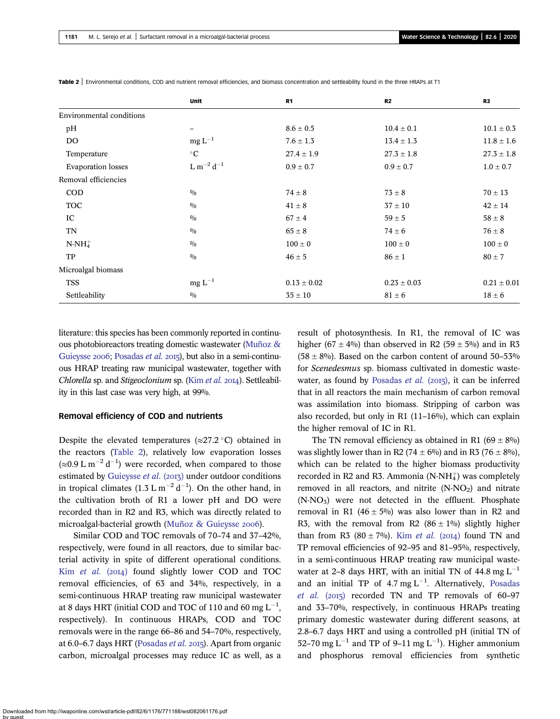|                                 | <b>Unit</b>             | R <sub>1</sub>  | R2              | R <sub>3</sub>  |
|---------------------------------|-------------------------|-----------------|-----------------|-----------------|
| <b>Environmental conditions</b> |                         |                 |                 |                 |
| pH                              | -                       | $8.6 \pm 0.5$   | $10.4 \pm 0.1$  | $10.1 \pm 0.3$  |
| <b>DO</b>                       | $mg L^{-1}$             | $7.6 \pm 1.3$   | $13.4 \pm 1.3$  | $11.8 \pm 1.6$  |
| Temperature                     | $^{\circ}C$             | $27.4 \pm 1.9$  | $27.3 \pm 1.8$  | $27.3 \pm 1.8$  |
| <b>Evaporation</b> losses       | ${\rm L~m^{-2}~d^{-1}}$ | $0.9 \pm 0.7$   | $0.9 \pm 0.7$   | $1.0 \pm 0.7$   |
| Removal efficiencies            |                         |                 |                 |                 |
| <b>COD</b>                      | 0/0                     | $74 \pm 8$      | $73 \pm 8$      | $70 \pm 13$     |
| <b>TOC</b>                      | 0/0                     | $41 \pm 8$      | $37 \pm 10$     | $42 \pm 14$     |
| IC                              | 0/0                     | $67 \pm 4$      | $59 \pm 5$      | $58 \pm 8$      |
| <b>TN</b>                       | 0/0                     | $65 \pm 8$      | $74 \pm 6$      | $76 \pm 8$      |
| $N-NH_4^+$                      | 0/0                     | $100 \pm 0$     | $100 \pm 0$     | $100 \pm 0$     |
| TP                              | 0/0                     | $46 \pm 5$      | $86 \pm 1$      | $80 \pm 7$      |
| Microalgal biomass              |                         |                 |                 |                 |
| <b>TSS</b>                      | $mg L^{-1}$             | $0.13 \pm 0.02$ | $0.23 \pm 0.03$ | $0.21 \pm 0.01$ |
| Settleability                   | 0/0                     | $35\pm10$       | $81 \pm 6$      | $18 \pm 6$      |

<span id="page-5-0"></span>Table 2 | Environmental conditions, COD and nutrient removal efficiencies, and biomass concentration and settleability found in the three HRAPs at T1

literature: this species has been commonly reported in continuous photobioreactors treating domestic wastewater [\(Muñoz &](#page-7-0) [Guieysse](#page-7-0) 2006; [Posadas](#page-7-0) et al. 2015), but also in a semi-continuous HRAP treating raw municipal wastewater, together with Chlorella sp. and Stigeoclonium sp. (Kim [et al.](#page-6-0) 2014). Settleability in this last case was very high, at 99%.

#### Removal efficiency of COD and nutrients

Despite the elevated temperatures ( $\approx$ 27.2 °C) obtained in the reactors (Table 2), relatively low evaporation losses (≈0.9 L m<sup>-2</sup> d<sup>-1</sup>) were recorded, when compared to those estimated by [Guieysse](#page-6-0) et al. (2013) under outdoor conditions in tropical climates  $(1.3 \text{ L m}^{-2} \text{ d}^{-1})$ . On the other hand, in the cultivation broth of R1 a lower pH and DO were recorded than in R2 and R3, which was directly related to microalgal-bacterial growth [\(Muñoz & Guieysse](#page-7-0) 2006).

Similar COD and TOC removals of 70–74 and 37–42%, respectively, were found in all reactors, due to similar bacterial activity in spite of different operational conditions. Kim [et al.](#page-6-0)  $(2014)$  found slightly lower COD and TOC removal efficiencies, of 63 and 34%, respectively, in a semi-continuous HRAP treating raw municipal wastewater at 8 days HRT (initial COD and TOC of 110 and 60 mg  $\mathrm{L}^{-1}$ , respectively). In continuous HRAPs, COD and TOC removals were in the range 66–86 and 54–70%, respectively, at  $6.0-6.7$  days HRT ([Posadas](#page-7-0) *et al.* 2015). Apart from organic carbon, microalgal processes may reduce IC as well, as a result of photosynthesis. In R1, the removal of IC was higher (67  $\pm$  4%) than observed in R2 (59  $\pm$  5%) and in R3  $(58 \pm 8\%)$ . Based on the carbon content of around 50–53% for Scenedesmus sp. biomass cultivated in domestic waste-water, as found by [Posadas](#page-7-0) *et al.* ( $2015$ ), it can be inferred that in all reactors the main mechanism of carbon removal was assimilation into biomass. Stripping of carbon was also recorded, but only in R1 (11–16%), which can explain the higher removal of IC in R1.

The TN removal efficiency as obtained in R1 (69  $\pm$  8%) was slightly lower than in R2 (74  $\pm$  6%) and in R3 (76  $\pm$  8%), which can be related to the higher biomass productivity recorded in R2 and R3. Ammonia  $(N-NH_4^+)$  was completely removed in all reactors, and nitrite  $(N-NO<sub>2</sub>)$  and nitrate  $(N-NO<sub>3</sub>)$  were not detected in the effluent. Phosphate removal in R1 (46  $\pm$  5%) was also lower than in R2 and R3, with the removal from R2 (86  $\pm$  1%) slightly higher than from R3 (80  $\pm$  7%). Kim *[et al.](#page-6-0)* (2014) found TN and TP removal efficiencies of 92–95 and 81–95%, respectively, in a semi-continuous HRAP treating raw municipal wastewater at 2–8 days HRT, with an initial TN of  $44.8 \text{ mg L}^{-1}$ and an initial TP of 4.7 mg  $L^{-1}$ . Alternatively, [Posadas](#page-7-0) [et al.](#page-7-0)  $(2015)$  recorded TN and TP removals of 60-97 and 33–70%, respectively, in continuous HRAPs treating primary domestic wastewater during different seasons, at 2.8–6.7 days HRT and using a controlled pH (initial TN of 52–70 mg L<sup>-1</sup> and TP of 9–11 mg L<sup>-1</sup>). Higher ammonium and phosphorus removal efficiencies from synthetic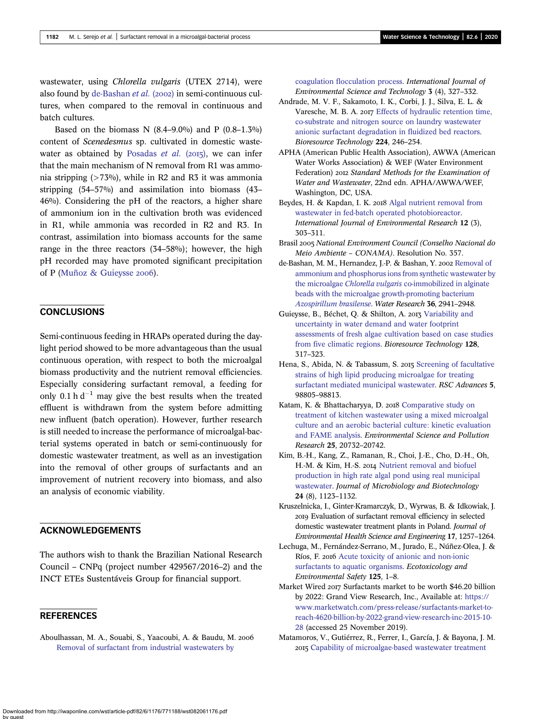<span id="page-6-0"></span>wastewater, using Chlorella vulgaris (UTEX 2714), were also found by de-Bashan et al.  $(2002)$  in semi-continuous cultures, when compared to the removal in continuous and batch cultures.

Based on the biomass N  $(8.4-9.0\%)$  and P  $(0.8-1.3\%)$ content of Scenedesmus sp. cultivated in domestic waste-water as obtained by [Posadas](#page-7-0)  $et$  al. (2015), we can infer that the main mechanism of N removal from R1 was ammonia stripping  $($ >73%), while in R2 and R3 it was ammonia stripping (54–57%) and assimilation into biomass (43– 46%). Considering the pH of the reactors, a higher share of ammonium ion in the cultivation broth was evidenced in R1, while ammonia was recorded in R2 and R3. In contrast, assimilation into biomass accounts for the same range in the three reactors (34–58%); however, the high pH recorded may have promoted significant precipitation of P [\(Muñoz & Guieysse](#page-7-0) 2006).

# **CONCLUSIONS**

Semi-continuous feeding in HRAPs operated during the daylight period showed to be more advantageous than the usual continuous operation, with respect to both the microalgal biomass productivity and the nutrient removal efficiencies. Especially considering surfactant removal, a feeding for only 0.1 h  $d^{-1}$  may give the best results when the treated effluent is withdrawn from the system before admitting new influent (batch operation). However, further research is still needed to increase the performance of microalgal-bacterial systems operated in batch or semi-continuously for domestic wastewater treatment, as well as an investigation into the removal of other groups of surfactants and an improvement of nutrient recovery into biomass, and also an analysis of economic viability.

# ACKNOWLEDGEMENTS

The authors wish to thank the Brazilian National Research Council – CNPq (project number 429567/2016–2) and the INCT ETEs Sustentáveis Group for financial support.

### **REFERENCES**

Aboulhassan, M. A., Souabi, S., Yaacoubi, A. & Baudu, M. [Removal of surfactant from industrial wastewaters by](http://dx.doi.org/10.1007/BF03325941)

[coagulation flocculation process](http://dx.doi.org/10.1007/BF03325941). International Journal of Environmental Science and Technology 3 (4), 327–332.

- Andrade, M. V. F., Sakamoto, I. K., Corbi, J. J., Silva, E. L. & Varesche, M. B. A. 2017 [Effects of hydraulic retention time,](http://dx.doi.org/10.1016/j.biortech.2016.11.001) [co-substrate and nitrogen source on laundry wastewater](http://dx.doi.org/10.1016/j.biortech.2016.11.001) [anionic surfactant degradation in fluidized bed reactors](http://dx.doi.org/10.1016/j.biortech.2016.11.001). Bioresource Technology 224, 246–254.
- APHA (American Public Health Association), AWWA (American Water Works Association) & WEF (Water Environment Federation) 2012 Standard Methods for the Examination of Water and Wastewater, 22nd edn. APHA/AWWA/WEF, Washington, DC, USA.
- Beydes, H. & Kapdan, I. K. 2018 [Algal nutrient removal from](http://dx.doi.org/10.1007/s41742-018-0092-0) [wastewater in fed-batch operated photobioreactor](http://dx.doi.org/10.1007/s41742-018-0092-0). International Journal of Environmental Research 12 (3), 303–311.
- Brasil 2005 National Environment Council (Conselho Nacional do Meio Ambiente – CONAMA). Resolution No. 357.
- de-Bashan, M. M., Hernandez, J.-P. & Bashan, Y. 2002 [Removal of](http://dx.doi.org/10.1016/S0043-1354(01)00522-X) [ammonium and phosphorus ions from synthetic wastewater by](http://dx.doi.org/10.1016/S0043-1354(01)00522-X) the microalgae Chlorella vulgaris [co-immobilized in alginate](http://dx.doi.org/10.1016/S0043-1354(01)00522-X) [beads with the microalgae growth-promoting bacterium](http://dx.doi.org/10.1016/S0043-1354(01)00522-X) [Azospirillum brasilense](http://dx.doi.org/10.1016/S0043-1354(01)00522-X). Water Research 36, 2941–2948.
- Guieysse, B., Béchet, Q. & Shilton, A. 2013 [Variability and](http://dx.doi.org/10.1016/j.biortech.2012.10.096) [uncertainty in water demand and water footprint](http://dx.doi.org/10.1016/j.biortech.2012.10.096) [assessments of fresh algae cultivation based on case studies](http://dx.doi.org/10.1016/j.biortech.2012.10.096) [from five climatic regions](http://dx.doi.org/10.1016/j.biortech.2012.10.096). Bioresource Technology 128, 317–323.
- Hena, S., Abida, N. & Tabassum, S. 2015 [Screening of facultative](http://dx.doi.org/10.1039/C5RA20019A) [strains of high lipid producing microalgae for treating](http://dx.doi.org/10.1039/C5RA20019A) [surfactant mediated municipal wastewater](http://dx.doi.org/10.1039/C5RA20019A). RSC Advances 5, 98805–98813.
- Katam, K. & Bhattacharyya, D. 2018 [Comparative study on](http://dx.doi.org/10.1007/s11356-018-2209-6) [treatment of kitchen wastewater using a mixed microalgal](http://dx.doi.org/10.1007/s11356-018-2209-6) [culture and an aerobic bacterial culture: kinetic evaluation](http://dx.doi.org/10.1007/s11356-018-2209-6) [and FAME analysis](http://dx.doi.org/10.1007/s11356-018-2209-6). Environmental Science and Pollution Research 25, 20732–20742.
- Kim, B.-H., Kang, Z., Ramanan, R., Choi, J.-E., Cho, D.-H., Oh, H.-M. & Kim, H.-S. 2014 [Nutrient removal and biofuel](http://dx.doi.org/10.4014/jmb.1312.12057) [production in high rate algal pond using real municipal](http://dx.doi.org/10.4014/jmb.1312.12057) [wastewater.](http://dx.doi.org/10.4014/jmb.1312.12057) Journal of Microbiology and Biotechnology 24 (8), 1123–1132.
- Kruszelnicka, I., Ginter-Kramarczyk, D., Wyrwas, B. & Idkowiak, J. Evaluation of surfactant removal efficiency in selected domestic wastewater treatment plants in Poland. Journal of Environmental Health Science and Engineering 17, 1257–1264.
- Lechuga, M., Fernández-Serrano, M., Jurado, E., Núñez-Olea, J. & Ríos, F. 2016 [Acute toxicity of anionic and non-ionic](http://dx.doi.org/10.1016/j.ecoenv.2015.11.027) [surfactants to aquatic organisms](http://dx.doi.org/10.1016/j.ecoenv.2015.11.027). Ecotoxicology and Environmental Safety 125, 1–8.
- Market Wired 2017 Surfactants market to be worth \$46.20 billion by 2022: Grand View Research, Inc., Available at: [https://](https://www.marketwatch.com/press-release/surfactants-market-to-reach-4620-billion-by-2022-grand-view-research-inc-2015-10-28) [www.marketwatch.com/press-release/surfactants-market-to](https://www.marketwatch.com/press-release/surfactants-market-to-reach-4620-billion-by-2022-grand-view-research-inc-2015-10-28)[reach-4620-billion-by-2022-grand-view-research-inc-2015-10-](https://www.marketwatch.com/press-release/surfactants-market-to-reach-4620-billion-by-2022-grand-view-research-inc-2015-10-28) [28](https://www.marketwatch.com/press-release/surfactants-market-to-reach-4620-billion-by-2022-grand-view-research-inc-2015-10-28) (accessed 25 November 2019).
- Matamoros, V., Gutiérrez, R., Ferrer, I., García, J. & Bayona, J. M. [Capability of microalgae-based wastewater treatment](http://dx.doi.org/10.1016/j.jhazmat.2015.02.002)